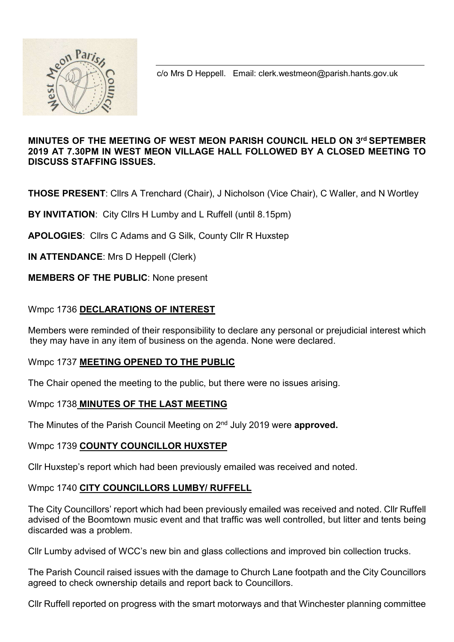

c/o Mrs D Heppell. Email: clerk.westmeon@parish.hants.gov.uk

## MINUTES OF THE MEETING OF WEST MEON PARISH COUNCIL HELD ON 3rd SEPTEMBER 2019 AT 7.30PM IN WEST MEON VILLAGE HALL FOLLOWED BY A CLOSED MEETING TO DISCUSS STAFFING ISSUES.

THOSE PRESENT: Cllrs A Trenchard (Chair), J Nicholson (Vice Chair), C Waller, and N Wortley

BY INVITATION: City Cllrs H Lumby and L Ruffell (until 8.15pm)

APOLOGIES: Cllrs C Adams and G Silk, County Cllr R Huxstep

IN ATTENDANCE: Mrs D Heppell (Clerk)

## MEMBERS OF THE PUBLIC: None present

## Wmpc 1736 DECLARATIONS OF INTEREST

Members were reminded of their responsibility to declare any personal or prejudicial interest which they may have in any item of business on the agenda. None were declared.

#### Wmpc 1737 MEETING OPENED TO THE PUBLIC

The Chair opened the meeting to the public, but there were no issues arising.

#### Wmpc 1738 MINUTES OF THE LAST MEETING

The Minutes of the Parish Council Meeting on 2<sup>nd</sup> July 2019 were approved.

#### Wmpc 1739 COUNTY COUNCILLOR HUXSTEP

Cllr Huxstep's report which had been previously emailed was received and noted.

#### Wmpc 1740 CITY COUNCILLORS LUMBY/ RUFFELL

The City Councillors' report which had been previously emailed was received and noted. Cllr Ruffell advised of the Boomtown music event and that traffic was well controlled, but litter and tents being discarded was a problem.

Cllr Lumby advised of WCC's new bin and glass collections and improved bin collection trucks.

The Parish Council raised issues with the damage to Church Lane footpath and the City Councillors agreed to check ownership details and report back to Councillors.

Cllr Ruffell reported on progress with the smart motorways and that Winchester planning committee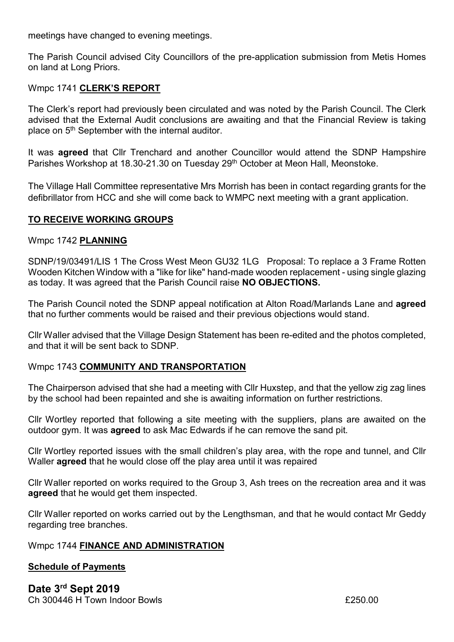meetings have changed to evening meetings.

The Parish Council advised City Councillors of the pre-application submission from Metis Homes on land at Long Priors.

## Wmpc 1741 CLERK'S REPORT

The Clerk's report had previously been circulated and was noted by the Parish Council. The Clerk advised that the External Audit conclusions are awaiting and that the Financial Review is taking place on 5th September with the internal auditor.

It was **agreed** that Cllr Trenchard and another Councillor would attend the SDNP Hampshire Parishes Workshop at 18.30-21.30 on Tuesday 29<sup>th</sup> October at Meon Hall, Meonstoke.

The Village Hall Committee representative Mrs Morrish has been in contact regarding grants for the defibrillator from HCC and she will come back to WMPC next meeting with a grant application.

## TO RECEIVE WORKING GROUPS

#### Wmpc 1742 PLANNING

SDNP/19/03491/LIS 1 The Cross West Meon GU32 1LG Proposal: To replace a 3 Frame Rotten Wooden Kitchen Window with a "like for like" hand-made wooden replacement - using single glazing as today. It was agreed that the Parish Council raise NO OBJECTIONS.

The Parish Council noted the SDNP appeal notification at Alton Road/Marlands Lane and **agreed** that no further comments would be raised and their previous objections would stand.

Cllr Waller advised that the Village Design Statement has been re-edited and the photos completed, and that it will be sent back to SDNP.

#### Wmpc 1743 COMMUNITY AND TRANSPORTATION

The Chairperson advised that she had a meeting with Cllr Huxstep, and that the yellow zig zag lines by the school had been repainted and she is awaiting information on further restrictions.

Cllr Wortley reported that following a site meeting with the suppliers, plans are awaited on the outdoor gym. It was **agreed** to ask Mac Edwards if he can remove the sand pit.

Cllr Wortley reported issues with the small children's play area, with the rope and tunnel, and Cllr Waller **agreed** that he would close off the play area until it was repaired

Cllr Waller reported on works required to the Group 3, Ash trees on the recreation area and it was agreed that he would get them inspected.

Cllr Waller reported on works carried out by the Lengthsman, and that he would contact Mr Geddy regarding tree branches.

#### Wmpc 1744 FINANCE AND ADMINISTRATION

#### Schedule of Payments

Date 3rd Sept 2019  $Ch. 300446 H.$  Town Indoor Bowls  $\overline{f}$  250.00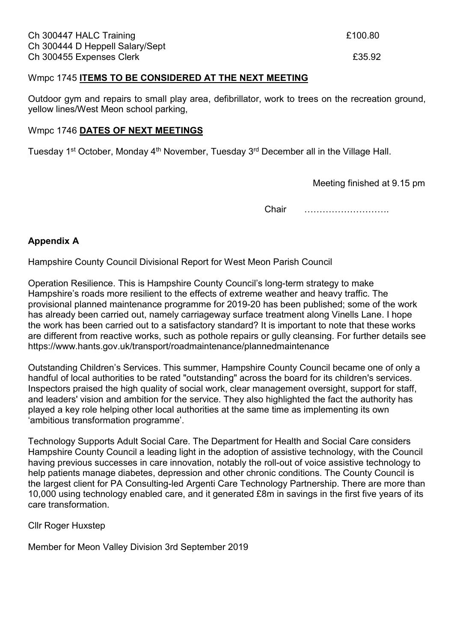#### Wmpc 1745 ITEMS TO BE CONSIDERED AT THE NEXT MEETING

Outdoor gym and repairs to small play area, defibrillator, work to trees on the recreation ground, yellow lines/West Meon school parking,

#### Wmpc 1746 DATES OF NEXT MEETINGS

Tuesday 1<sup>st</sup> October, Monday 4<sup>th</sup> November, Tuesday 3<sup>rd</sup> December all in the Village Hall.

Meeting finished at 9.15 pm

Chair ……………………….

## Appendix A

Hampshire County Council Divisional Report for West Meon Parish Council

Operation Resilience. This is Hampshire County Council's long-term strategy to make Hampshire's roads more resilient to the effects of extreme weather and heavy traffic. The provisional planned maintenance programme for 2019-20 has been published; some of the work has already been carried out, namely carriageway surface treatment along Vinells Lane. I hope the work has been carried out to a satisfactory standard? It is important to note that these works are different from reactive works, such as pothole repairs or gully cleansing. For further details see https://www.hants.gov.uk/transport/roadmaintenance/plannedmaintenance

Outstanding Children's Services. This summer, Hampshire County Council became one of only a handful of local authorities to be rated "outstanding" across the board for its children's services. Inspectors praised the high quality of social work, clear management oversight, support for staff, and leaders' vision and ambition for the service. They also highlighted the fact the authority has played a key role helping other local authorities at the same time as implementing its own 'ambitious transformation programme'.

Technology Supports Adult Social Care. The Department for Health and Social Care considers Hampshire County Council a leading light in the adoption of assistive technology, with the Council having previous successes in care innovation, notably the roll-out of voice assistive technology to help patients manage diabetes, depression and other chronic conditions. The County Council is the largest client for PA Consulting-led Argenti Care Technology Partnership. There are more than 10,000 using technology enabled care, and it generated £8m in savings in the first five years of its care transformation.

Cllr Roger Huxstep

Member for Meon Valley Division 3rd September 2019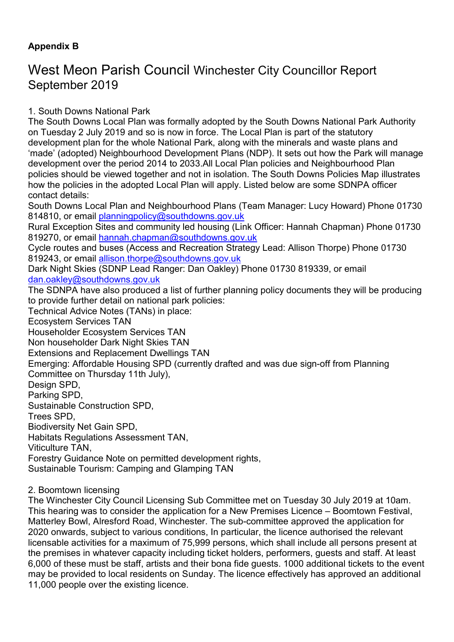## Appendix B

# West Meon Parish Council Winchester City Councillor Report September 2019

1. South Downs National Park

The South Downs Local Plan was formally adopted by the South Downs National Park Authority on Tuesday 2 July 2019 and so is now in force. The Local Plan is part of the statutory development plan for the whole National Park, along with the minerals and waste plans and 'made' (adopted) Neighbourhood Development Plans (NDP). It sets out how the Park will manage development over the period 2014 to 2033.All Local Plan policies and Neighbourhood Plan policies should be viewed together and not in isolation. The South Downs Policies Map illustrates how the policies in the adopted Local Plan will apply. Listed below are some SDNPA officer contact details:

South Downs Local Plan and Neighbourhood Plans (Team Manager: Lucy Howard) Phone 01730 814810, or email planningpolicy@southdowns.gov.uk

Rural Exception Sites and community led housing (Link Officer: Hannah Chapman) Phone 01730 819270, or email hannah.chapman@southdowns.gov.uk

Cycle routes and buses (Access and Recreation Strategy Lead: Allison Thorpe) Phone 01730 819243, or email allison.thorpe@southdowns.gov.uk

Dark Night Skies (SDNP Lead Ranger: Dan Oakley) Phone 01730 819339, or email dan.oakley@southdowns.gov.uk

The SDNPA have also produced a list of further planning policy documents they will be producing to provide further detail on national park policies:

Technical Advice Notes (TANs) in place:

Ecosystem Services TAN

Householder Ecosystem Services TAN

Non householder Dark Night Skies TAN

Extensions and Replacement Dwellings TAN

Emerging: Affordable Housing SPD (currently drafted and was due sign-off from Planning Committee on Thursday 11th July),

Design SPD,

Parking SPD,

Sustainable Construction SPD,

Trees SPD,

Biodiversity Net Gain SPD,

Habitats Regulations Assessment TAN,

Viticulture TAN,

Forestry Guidance Note on permitted development rights,

Sustainable Tourism: Camping and Glamping TAN

2. Boomtown licensing

The Winchester City Council Licensing Sub Committee met on Tuesday 30 July 2019 at 10am. This hearing was to consider the application for a New Premises Licence – Boomtown Festival, Matterley Bowl, Alresford Road, Winchester. The sub-committee approved the application for 2020 onwards, subject to various conditions, In particular, the licence authorised the relevant licensable activities for a maximum of 75,999 persons, which shall include all persons present at the premises in whatever capacity including ticket holders, performers, guests and staff. At least 6,000 of these must be staff, artists and their bona fide guests. 1000 additional tickets to the event may be provided to local residents on Sunday. The licence effectively has approved an additional 11,000 people over the existing licence.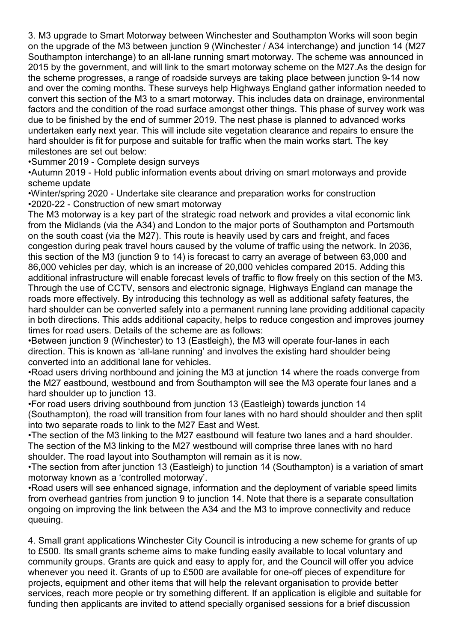3. M3 upgrade to Smart Motorway between Winchester and Southampton Works will soon begin on the upgrade of the M3 between junction 9 (Winchester / A34 interchange) and junction 14 (M27 Southampton interchange) to an all-lane running smart motorway. The scheme was announced in 2015 by the government, and will link to the smart motorway scheme on the M27.As the design for the scheme progresses, a range of roadside surveys are taking place between junction 9-14 now and over the coming months. These surveys help Highways England gather information needed to convert this section of the M3 to a smart motorway. This includes data on drainage, environmental factors and the condition of the road surface amongst other things. This phase of survey work was due to be finished by the end of summer 2019. The nest phase is planned to advanced works undertaken early next year. This will include site vegetation clearance and repairs to ensure the hard shoulder is fit for purpose and suitable for traffic when the main works start. The key milestones are set out below:

•Summer 2019 - Complete design surveys

•Autumn 2019 - Hold public information events about driving on smart motorways and provide scheme update

•Winter/spring 2020 - Undertake site clearance and preparation works for construction •2020-22 - Construction of new smart motorway

The M3 motorway is a key part of the strategic road network and provides a vital economic link from the Midlands (via the A34) and London to the major ports of Southampton and Portsmouth on the south coast (via the M27). This route is heavily used by cars and freight, and faces congestion during peak travel hours caused by the volume of traffic using the network. In 2036, this section of the M3 (junction 9 to 14) is forecast to carry an average of between 63,000 and 86,000 vehicles per day, which is an increase of 20,000 vehicles compared 2015. Adding this additional infrastructure will enable forecast levels of traffic to flow freely on this section of the M3. Through the use of CCTV, sensors and electronic signage, Highways England can manage the roads more effectively. By introducing this technology as well as additional safety features, the hard shoulder can be converted safely into a permanent running lane providing additional capacity in both directions. This adds additional capacity, helps to reduce congestion and improves journey times for road users. Details of the scheme are as follows:

•Between junction 9 (Winchester) to 13 (Eastleigh), the M3 will operate four-lanes in each direction. This is known as 'all-lane running' and involves the existing hard shoulder being converted into an additional lane for vehicles.

•Road users driving northbound and joining the M3 at junction 14 where the roads converge from the M27 eastbound, westbound and from Southampton will see the M3 operate four lanes and a hard shoulder up to junction 13.

•For road users driving southbound from junction 13 (Eastleigh) towards junction 14 (Southampton), the road will transition from four lanes with no hard should shoulder and then split into two separate roads to link to the M27 East and West.

•The section of the M3 linking to the M27 eastbound will feature two lanes and a hard shoulder. The section of the M3 linking to the M27 westbound will comprise three lanes with no hard shoulder. The road layout into Southampton will remain as it is now.

•The section from after junction 13 (Eastleigh) to junction 14 (Southampton) is a variation of smart motorway known as a 'controlled motorway'.

•Road users will see enhanced signage, information and the deployment of variable speed limits from overhead gantries from junction 9 to junction 14. Note that there is a separate consultation ongoing on improving the link between the A34 and the M3 to improve connectivity and reduce queuing.

4. Small grant applications Winchester City Council is introducing a new scheme for grants of up to £500. Its small grants scheme aims to make funding easily available to local voluntary and community groups. Grants are quick and easy to apply for, and the Council will offer you advice whenever you need it. Grants of up to £500 are available for one-off pieces of expenditure for projects, equipment and other items that will help the relevant organisation to provide better services, reach more people or try something different. If an application is eligible and suitable for funding then applicants are invited to attend specially organised sessions for a brief discussion